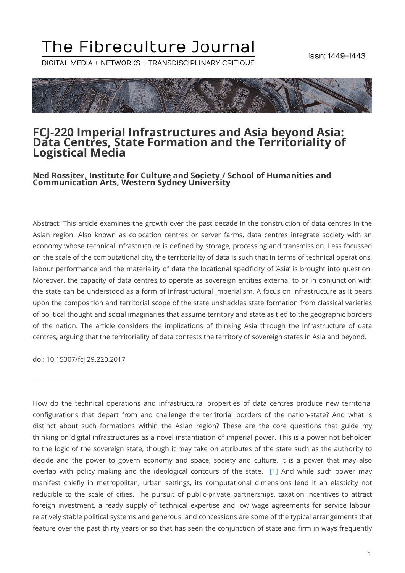# The Fibreculture Journal

DIGITAL MEDIA + NETWORKS + TRANSDISCIPLINARY CRITIQUE



#### **FCJ-220 Imperial Infrastructures and Asia beyond Asia: Data Centres, State Formation and the Territoriality of Logistical Media**

**Ned Rossiter, Institute for Culture and Society / School of Humanities and Communication Arts, Western Sydney University**

Abstract: This article examines the growth over the past decade in the construction of data centres in the Asian region. Also known as colocation centres or server farms, data centres integrate society with an economy whose technical infrastructure is defined by storage, processing and transmission. Less focussed on the scale of the computational city, the territoriality of data is such that in terms of technical operations, labour performance and the materiality of data the locational specificity of 'Asia' is brought into question. Moreover, the capacity of data centres to operate as sovereign entities external to or in conjunction with the state can be understood as a form of infrastructural imperialism. A focus on infrastructure as it bears upon the composition and territorial scope of the state unshackles state formation from classical varieties of political thought and social imaginaries that assume territory and state as tied to the geographic borders of the nation. The article considers the implications of thinking Asia through the infrastructure of data centres, arguing that the territoriality of data contests the territory of sovereign states in Asia and beyond.

doi: 10.15307/fcj.29.220.2017

<span id="page-0-0"></span>How do the technical operations and infrastructural properties of data centres produce new territorial configurations that depart from and challenge the territorial borders of the nation-state? And what is distinct about such formations within the Asian region? These are the core questions that guide my thinking on digital infrastructures as a novel instantiation of imperial power. This is a power not beholden to the logic of the sovereign state, though it may take on attributes of the state such as the authority to decide and the power to govern economy and space, society and culture. It is a power that may also overlap with policy making and the ideological contours of the state. [\[1\]](#page-15-0) And while such power may manifest chiefly in metropolitan, urban settings, its computational dimensions lend it an elasticity not reducible to the scale of cities. The pursuit of public-private partnerships, taxation incentives to attract foreign investment, a ready supply of technical expertise and low wage agreements for service labour, relatively stable political systems and generous land concessions are some of the typical arrangements that feature over the past thirty years or so that has seen the conjunction of state and firm in ways frequently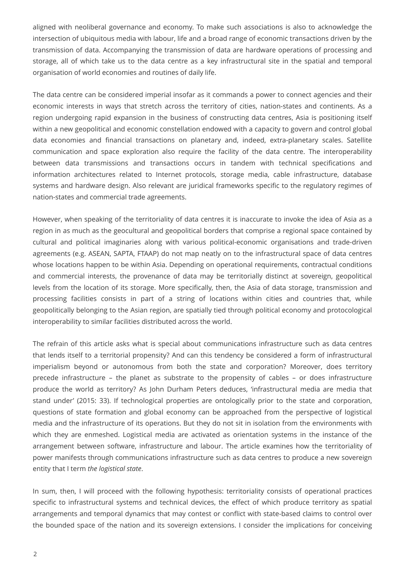aligned with neoliberal governance and economy. To make such associations is also to acknowledge the intersection of ubiquitous media with labour, life and a broad range of economic transactions driven by the transmission of data. Accompanying the transmission of data are hardware operations of processing and storage, all of which take us to the data centre as a key infrastructural site in the spatial and temporal organisation of world economies and routines of daily life.

The data centre can be considered imperial insofar as it commands a power to connect agencies and their economic interests in ways that stretch across the territory of cities, nation-states and continents. As a region undergoing rapid expansion in the business of constructing data centres, Asia is positioning itself within a new geopolitical and economic constellation endowed with a capacity to govern and control global data economies and financial transactions on planetary and, indeed, extra-planetary scales. Satellite communication and space exploration also require the facility of the data centre. The interoperability between data transmissions and transactions occurs in tandem with technical specifications and information architectures related to Internet protocols, storage media, cable infrastructure, database systems and hardware design. Also relevant are juridical frameworks specific to the regulatory regimes of nation-states and commercial trade agreements.

However, when speaking of the territoriality of data centres it is inaccurate to invoke the idea of Asia as a region in as much as the geocultural and geopolitical borders that comprise a regional space contained by cultural and political imaginaries along with various political-economic organisations and trade-driven agreements (e.g. ASEAN, SAPTA, FTAAP) do not map neatly on to the infrastructural space of data centres whose locations happen to be within Asia. Depending on operational requirements, contractual conditions and commercial interests, the provenance of data may be territorially distinct at sovereign, geopolitical levels from the location of its storage. More specifically, then, the Asia of data storage, transmission and processing facilities consists in part of a string of locations within cities and countries that, while geopolitically belonging to the Asian region, are spatially tied through political economy and protocological interoperability to similar facilities distributed across the world.

The refrain of this article asks what is special about communications infrastructure such as data centres that lends itself to a territorial propensity? And can this tendency be considered a form of infrastructural imperialism beyond or autonomous from both the state and corporation? Moreover, does territory precede infrastructure – the planet as substrate to the propensity of cables – or does infrastructure produce the world as territory? As John Durham Peters deduces, 'infrastructural media are media that stand under' (2015: 33). If technological properties are ontologically prior to the state and corporation, questions of state formation and global economy can be approached from the perspective of logistical media and the infrastructure of its operations. But they do not sit in isolation from the environments with which they are enmeshed. Logistical media are activated as orientation systems in the instance of the arrangement between software, infrastructure and labour. The article examines how the territoriality of power manifests through communications infrastructure such as data centres to produce a new sovereign entity that I term *the logistical state*.

In sum, then, I will proceed with the following hypothesis: territoriality consists of operational practices specific to infrastructural systems and technical devices, the effect of which produce territory as spatial arrangements and temporal dynamics that may contest or conflict with state-based claims to control over the bounded space of the nation and its sovereign extensions. I consider the implications for conceiving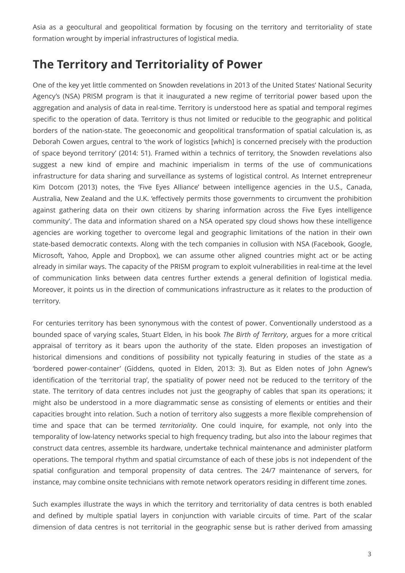Asia as a geocultural and geopolitical formation by focusing on the territory and territoriality of state formation wrought by imperial infrastructures of logistical media.

#### **The Territory and Territoriality of Power**

One of the key yet little commented on Snowden revelations in 2013 of the United States' National Security Agency's (NSA) PRISM program is that it inaugurated a new regime of territorial power based upon the aggregation and analysis of data in real-time. Territory is understood here as spatial and temporal regimes specific to the operation of data. Territory is thus not limited or reducible to the geographic and political borders of the nation-state. The geoeconomic and geopolitical transformation of spatial calculation is, as Deborah Cowen argues, central to 'the work of logistics [which] is concerned precisely with the production of space beyond territory' (2014: 51). Framed within a technics of territory, the Snowden revelations also suggest a new kind of empire and machinic imperialism in terms of the use of communications infrastructure for data sharing and surveillance as systems of logistical control. As Internet entrepreneur Kim Dotcom (2013) notes, the 'Five Eyes Alliance' between intelligence agencies in the U.S., Canada, Australia, New Zealand and the U.K. 'effectively permits those governments to circumvent the prohibition against gathering data on their own citizens by sharing information across the Five Eyes intelligence community'. The data and information shared on a NSA operated spy cloud shows how these intelligence agencies are working together to overcome legal and geographic limitations of the nation in their own state-based democratic contexts. Along with the tech companies in collusion with NSA (Facebook, Google, Microsoft, Yahoo, Apple and Dropbox), we can assume other aligned countries might act or be acting already in similar ways. The capacity of the PRISM program to exploit vulnerabilities in real-time at the level of communication links between data centres further extends a general definition of logistical media. Moreover, it points us in the direction of communications infrastructure as it relates to the production of territory.

For centuries territory has been synonymous with the contest of power. Conventionally understood as a bounded space of varying scales, Stuart Elden, in his book *The Birth of Territory*, argues for a more critical appraisal of territory as it bears upon the authority of the state. Elden proposes an investigation of historical dimensions and conditions of possibility not typically featuring in studies of the state as a 'bordered power-container' (Giddens, quoted in Elden, 2013: 3). But as Elden notes of John Agnew's identification of the 'territorial trap', the spatiality of power need not be reduced to the territory of the state. The territory of data centres includes not just the geography of cables that span its operations; it might also be understood in a more diagrammatic sense as consisting of elements or entities and their capacities brought into relation. Such a notion of territory also suggests a more flexible comprehension of time and space that can be termed *territoriality*. One could inquire, for example, not only into the temporality of low-latency networks special to high frequency trading, but also into the labour regimes that construct data centres, assemble its hardware, undertake technical maintenance and administer platform operations. The temporal rhythm and spatial circumstance of each of these jobs is not independent of the spatial configuration and temporal propensity of data centres. The 24/7 maintenance of servers, for instance, may combine onsite technicians with remote network operators residing in different time zones.

Such examples illustrate the ways in which the territory and territoriality of data centres is both enabled and defined by multiple spatial layers in conjunction with variable circuits of time. Part of the scalar dimension of data centres is not territorial in the geographic sense but is rather derived from amassing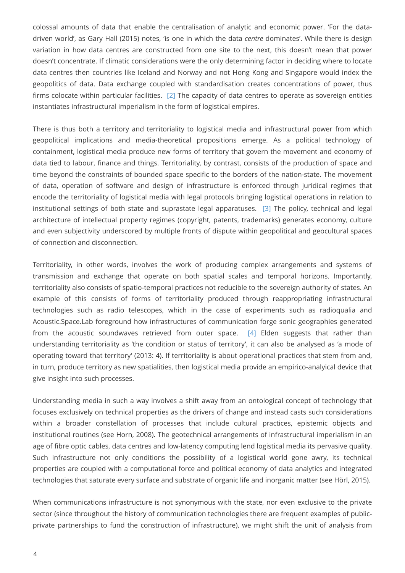colossal amounts of data that enable the centralisation of analytic and economic power. 'For the datadriven world', as Gary Hall (2015) notes, 'is one in which the data *centre* dominates'. While there is design variation in how data centres are constructed from one site to the next, this doesn't mean that power doesn't concentrate. If climatic considerations were the only determining factor in deciding where to locate data centres then countries like Iceland and Norway and not Hong Kong and Singapore would index the geopolitics of data. Data exchange coupled with standardisation creates concentrations of power, thus firms colocate within particular facilities. [\[2\]](#page-15-1) The capacity of data centres to operate as sovereign entities instantiates infrastructural imperialism in the form of logistical empires.

<span id="page-3-0"></span>There is thus both a territory and territoriality to logistical media and infrastructural power from which geopolitical implications and media-theoretical propositions emerge. As a political technology of containment, logistical media produce new forms of territory that govern the movement and economy of data tied to labour, finance and things. Territoriality, by contrast, consists of the production of space and time beyond the constraints of bounded space specific to the borders of the nation-state. The movement of data, operation of software and design of infrastructure is enforced through juridical regimes that encode the territoriality of logistical media with legal protocols bringing logistical operations in relation to institutional settings of both state and suprastate legal apparatuses. [\[3\]](#page-15-2) The policy, technical and legal architecture of intellectual property regimes (copyright, patents, trademarks) generates economy, culture and even subjectivity underscored by multiple fronts of dispute within geopolitical and geocultural spaces of connection and disconnection.

<span id="page-3-1"></span>Territoriality, in other words, involves the work of producing complex arrangements and systems of transmission and exchange that operate on both spatial scales and temporal horizons. Importantly, territoriality also consists of spatio-temporal practices not reducible to the sovereign authority of states. An example of this consists of forms of territoriality produced through reappropriating infrastructural technologies such as radio telescopes, which in the case of experiments such as radioqualia and Acoustic.Space.Lab foreground how infrastructures of communication forge sonic geographies generated from the acoustic soundwaves retrieved from outer space. [\[4\]](#page-15-3) Elden suggests that rather than understanding territoriality as 'the condition or status of territory', it can also be analysed as 'a mode of operating toward that territory' (2013: 4). If territoriality is about operational practices that stem from and, in turn, produce territory as new spatialities, then logistical media provide an empirico-analyical device that give insight into such processes.

<span id="page-3-2"></span>Understanding media in such a way involves a shift away from an ontological concept of technology that focuses exclusively on technical properties as the drivers of change and instead casts such considerations within a broader constellation of processes that include cultural practices, epistemic objects and institutional routines (see Horn, 2008). The geotechnical arrangements of infrastructural imperialism in an age of fibre optic cables, data centres and low-latency computing lend logistical media its pervasive quality. Such infrastructure not only conditions the possibility of a logistical world gone awry, its technical properties are coupled with a computational force and political economy of data analytics and integrated technologies that saturate every surface and substrate of organic life and inorganic matter (see Hörl, 2015).

When communications infrastructure is not synonymous with the state, nor even exclusive to the private sector (since throughout the history of communication technologies there are frequent examples of publicprivate partnerships to fund the construction of infrastructure), we might shift the unit of analysis from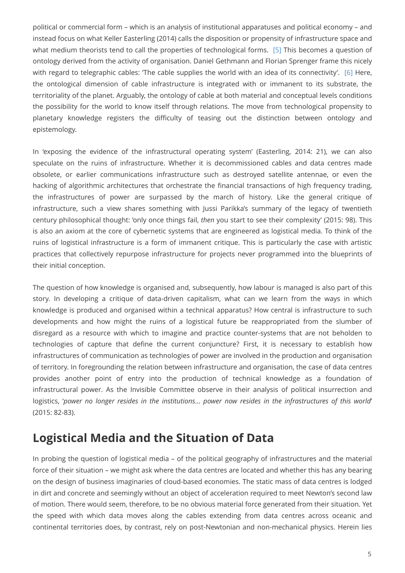<span id="page-4-1"></span><span id="page-4-0"></span>political or commercial form – which is an analysis of institutional apparatuses and political economy – and instead focus on what Keller Easterling (2014) calls the disposition or propensity of infrastructure space and what medium theorists tend to call the properties of technological forms. [\[5\]](#page-15-4) This becomes a question of ontology derived from the activity of organisation. Daniel Gethmann and Florian Sprenger frame this nicely with regard to telegraphic cables: 'The cable supplies the world with an idea of its connectivity'. [\[6\]](#page-15-5) Here, the ontological dimension of cable infrastructure is integrated with or immanent to its substrate, the territoriality of the planet. Arguably, the ontology of cable at both material and conceptual levels conditions the possibility for the world to know itself through relations. The move from technological propensity to planetary knowledge registers the difficulty of teasing out the distinction between ontology and epistemology.

In 'exposing the evidence of the infrastructural operating system' (Easterling, 2014: 21), we can also speculate on the ruins of infrastructure. Whether it is decommissioned cables and data centres made obsolete, or earlier communications infrastructure such as destroyed satellite antennae, or even the hacking of algorithmic architectures that orchestrate the financial transactions of high frequency trading, the infrastructures of power are surpassed by the march of history. Like the general critique of infrastructure, such a view shares something with Jussi Parikka's summary of the legacy of twentieth century philosophical thought: 'only once things fail, *then* you start to see their complexity' (2015: 98). This is also an axiom at the core of cybernetic systems that are engineered as logistical media. To think of the ruins of logistical infrastructure is a form of immanent critique. This is particularly the case with artistic practices that collectively repurpose infrastructure for projects never programmed into the blueprints of their initial conception.

The question of how knowledge is organised and, subsequently, how labour is managed is also part of this story. In developing a critique of data-driven capitalism, what can we learn from the ways in which knowledge is produced and organised within a technical apparatus? How central is infrastructure to such developments and how might the ruins of a logistical future be reappropriated from the slumber of disregard as a resource with which to imagine and practice counter-systems that are not beholden to technologies of capture that define the current conjuncture? First, it is necessary to establish how infrastructures of communication as technologies of power are involved in the production and organisation of territory. In foregrounding the relation between infrastructure and organisation, the case of data centres provides another point of entry into the production of technical knowledge as a foundation of infrastructural power. As the Invisible Committee observe in their analysis of political insurrection and logistics, '*power no longer resides in the institutions*… *power now resides in the infrastructures of this world*' (2015: 82-83).

#### **Logistical Media and the Situation of Data**

In probing the question of logistical media – of the political geography of infrastructures and the material force of their situation – we might ask where the data centres are located and whether this has any bearing on the design of business imaginaries of cloud-based economies. The static mass of data centres is lodged in dirt and concrete and seemingly without an object of acceleration required to meet Newton's second law of motion. There would seem, therefore, to be no obvious material force generated from their situation. Yet the speed with which data moves along the cables extending from data centres across oceanic and continental territories does, by contrast, rely on post-Newtonian and non-mechanical physics. Herein lies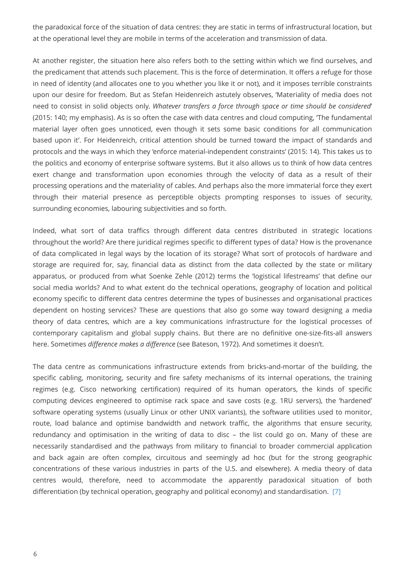the paradoxical force of the situation of data centres: they are static in terms of infrastructural location, but at the operational level they are mobile in terms of the acceleration and transmission of data.

At another register, the situation here also refers both to the setting within which we find ourselves, and the predicament that attends such placement. This is the force of determination. It offers a refuge for those in need of identity (and allocates one to you whether you like it or not), and it imposes terrible constraints upon our desire for freedom. But as Stefan Heidenreich astutely observes, 'Materiality of media does not need to consist in solid objects only. *Whatever transfers a force through space or time should be considered*' (2015: 140; my emphasis). As is so often the case with data centres and cloud computing, 'The fundamental material layer often goes unnoticed, even though it sets some basic conditions for all communication based upon it'. For Heidenreich, critical attention should be turned toward the impact of standards and protocols and the ways in which they 'enforce material-independent constraints' (2015: 14). This takes us to the politics and economy of enterprise software systems. But it also allows us to think of how data centres exert change and transformation upon economies through the velocity of data as a result of their processing operations and the materiality of cables. And perhaps also the more immaterial force they exert through their material presence as perceptible objects prompting responses to issues of security, surrounding economies, labouring subjectivities and so forth.

Indeed, what sort of data traffics through different data centres distributed in strategic locations throughout the world? Are there juridical regimes specific to different types of data? How is the provenance of data complicated in legal ways by the location of its storage? What sort of protocols of hardware and storage are required for, say, financial data as distinct from the data collected by the state or military apparatus, or produced from what Soenke Zehle (2012) terms the 'logistical lifestreams' that define our social media worlds? And to what extent do the technical operations, geography of location and political economy specific to different data centres determine the types of businesses and organisational practices dependent on hosting services? These are questions that also go some way toward designing a media theory of data centres, which are a key communications infrastructure for the logistical processes of contemporary capitalism and global supply chains. But there are no definitive one-size-fits-all answers here. Sometimes *difference makes a difference* (see Bateson, 1972). And sometimes it doesn't.

<span id="page-5-0"></span>The data centre as communications infrastructure extends from bricks-and-mortar of the building, the specific cabling, monitoring, security and fire safety mechanisms of its internal operations, the training regimes (e.g. Cisco networking certification) required of its human operators, the kinds of specific computing devices engineered to optimise rack space and save costs (e.g. 1RU servers), the 'hardened' software operating systems (usually Linux or other UNIX variants), the software utilities used to monitor, route, load balance and optimise bandwidth and network traffic, the algorithms that ensure security, redundancy and optimisation in the writing of data to disc – the list could go on. Many of these are necessarily standardised and the pathways from military to financial to broader commercial application and back again are often complex, circuitous and seemingly ad hoc (but for the strong geographic concentrations of these various industries in parts of the U.S. and elsewhere). A media theory of data centres would, therefore, need to accommodate the apparently paradoxical situation of both differentiation (by technical operation, geography and political economy) and standardisation. [\[7\]](#page-15-6)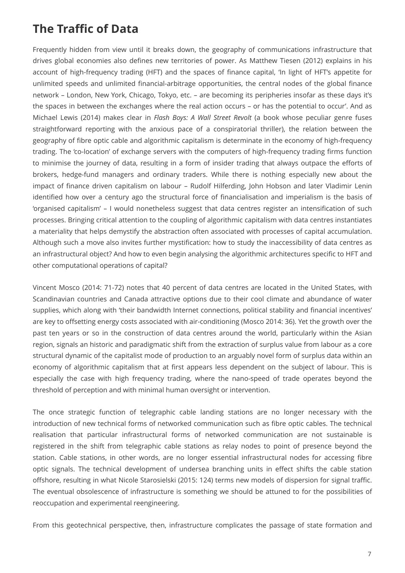### **The Traffic of Data**

Frequently hidden from view until it breaks down, the geography of communications infrastructure that drives global economies also defines new territories of power. As Matthew Tiesen (2012) explains in his account of high-frequency trading (HFT) and the spaces of finance capital, 'In light of HFT's appetite for unlimited speeds and unlimited financial-arbitrage opportunities, the central nodes of the global finance network – London, New York, Chicago, Tokyo, etc. – are becoming its peripheries insofar as these days it's the spaces in between the exchanges where the real action occurs – or has the potential to occur'. And as Michael Lewis (2014) makes clear in *Flash Boys: A Wall Street Revolt* (a book whose peculiar genre fuses straightforward reporting with the anxious pace of a conspiratorial thriller), the relation between the geography of fibre optic cable and algorithmic capitalism is determinate in the economy of high-frequency trading. The 'co-location' of exchange servers with the computers of high-frequency trading firms function to minimise the journey of data, resulting in a form of insider trading that always outpace the efforts of brokers, hedge-fund managers and ordinary traders. While there is nothing especially new about the impact of finance driven capitalism on labour – Rudolf Hilferding, John Hobson and later Vladimir Lenin identified how over a century ago the structural force of financialisation and imperialism is the basis of 'organised capitalism' – I would nonetheless suggest that data centres register an intensification of such processes. Bringing critical attention to the coupling of algorithmic capitalism with data centres instantiates a materiality that helps demystify the abstraction often associated with processes of capital accumulation. Although such a move also invites further mystification: how to study the inaccessibility of data centres as an infrastructural object? And how to even begin analysing the algorithmic architectures specific to HFT and other computational operations of capital?

Vincent Mosco (2014: 71-72) notes that 40 percent of data centres are located in the United States, with Scandinavian countries and Canada attractive options due to their cool climate and abundance of water supplies, which along with 'their bandwidth Internet connections, political stability and financial incentives' are key to offsetting energy costs associated with air-conditioning (Mosco 2014: 36). Yet the growth over the past ten years or so in the construction of data centres around the world, particularly within the Asian region, signals an historic and paradigmatic shift from the extraction of surplus value from labour as a core structural dynamic of the capitalist mode of production to an arguably novel form of surplus data within an economy of algorithmic capitalism that at first appears less dependent on the subject of labour. This is especially the case with high frequency trading, where the nano-speed of trade operates beyond the threshold of perception and with minimal human oversight or intervention.

The once strategic function of telegraphic cable landing stations are no longer necessary with the introduction of new technical forms of networked communication such as fibre optic cables. The technical realisation that particular infrastructural forms of networked communication are not sustainable is registered in the shift from telegraphic cable stations as relay nodes to point of presence beyond the station. Cable stations, in other words, are no longer essential infrastructural nodes for accessing fibre optic signals. The technical development of undersea branching units in effect shifts the cable station offshore, resulting in what Nicole Starosielski (2015: 124) terms new models of dispersion for signal traffic. The eventual obsolescence of infrastructure is something we should be attuned to for the possibilities of reoccupation and experimental reengineering.

From this geotechnical perspective, then, infrastructure complicates the passage of state formation and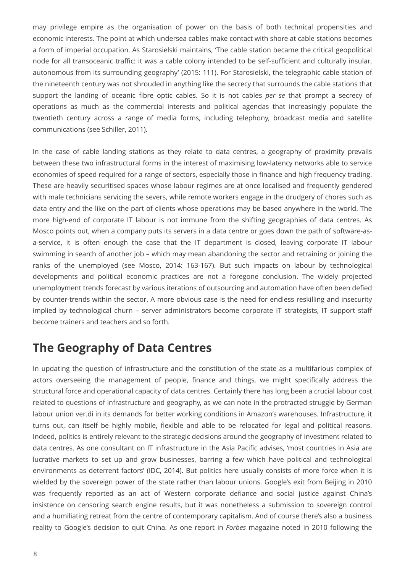may privilege empire as the organisation of power on the basis of both technical propensities and economic interests. The point at which undersea cables make contact with shore at cable stations becomes a form of imperial occupation. As Starosielski maintains, 'The cable station became the critical geopolitical node for all transoceanic traffic: it was a cable colony intended to be self-sufficient and culturally insular, autonomous from its surrounding geography' (2015: 111). For Starosielski, the telegraphic cable station of the nineteenth century was not shrouded in anything like the secrecy that surrounds the cable stations that support the landing of oceanic fibre optic cables. So it is not cables *per se* that prompt a secrecy of operations as much as the commercial interests and political agendas that increasingly populate the twentieth century across a range of media forms, including telephony, broadcast media and satellite communications (see Schiller, 2011).

In the case of cable landing stations as they relate to data centres, a geography of proximity prevails between these two infrastructural forms in the interest of maximising low-latency networks able to service economies of speed required for a range of sectors, especially those in finance and high frequency trading. These are heavily securitised spaces whose labour regimes are at once localised and frequently gendered with male technicians servicing the severs, while remote workers engage in the drudgery of chores such as data entry and the like on the part of clients whose operations may be based anywhere in the world. The more high-end of corporate IT labour is not immune from the shifting geographies of data centres. As Mosco points out, when a company puts its servers in a data centre or goes down the path of software-asa-service, it is often enough the case that the IT department is closed, leaving corporate IT labour swimming in search of another job – which may mean abandoning the sector and retraining or joining the ranks of the unemployed (see Mosco, 2014: 163-167). But such impacts on labour by technological developments and political economic practices are not a foregone conclusion. The widely projected unemployment trends forecast by various iterations of outsourcing and automation have often been defied by counter-trends within the sector. A more obvious case is the need for endless reskilling and insecurity implied by technological churn – server administrators become corporate IT strategists, IT support staff become trainers and teachers and so forth.

#### **The Geography of Data Centres**

In updating the question of infrastructure and the constitution of the state as a multifarious complex of actors overseeing the management of people, finance and things, we might specifically address the structural force and operational capacity of data centres. Certainly there has long been a crucial labour cost related to questions of infrastructure and geography, as we can note in the protracted struggle by German labour union ver.di in its demands for better working conditions in Amazon's warehouses. Infrastructure, it turns out, can itself be highly mobile, flexible and able to be relocated for legal and political reasons. Indeed, politics is entirely relevant to the strategic decisions around the geography of investment related to data centres. As one consultant on IT infrastructure in the Asia Pacific advises, 'most countries in Asia are lucrative markets to set up and grow businesses, barring a few which have political and technological environments as deterrent factors' (IDC, 2014). But politics here usually consists of more force when it is wielded by the sovereign power of the state rather than labour unions. Google's exit from Beijing in 2010 was frequently reported as an act of Western corporate defiance and social justice against China's insistence on censoring search engine results, but it was nonetheless a submission to sovereign control and a humiliating retreat from the centre of contemporary capitalism. And of course there's also a business reality to Google's decision to quit China. As one report in *Forbes* magazine noted in 2010 following the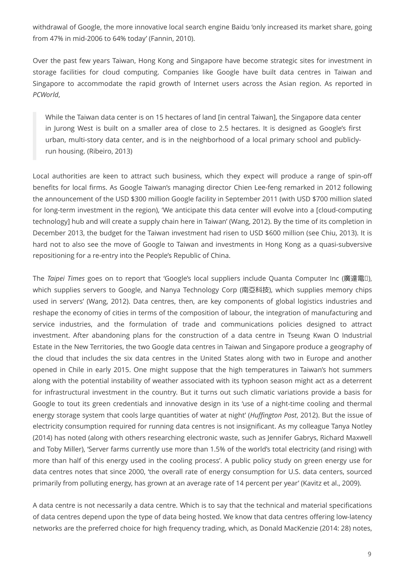withdrawal of Google, the more innovative local search engine Baidu 'only increased its market share, going from 47% in mid-2006 to 64% today' (Fannin, 2010).

Over the past few years Taiwan, Hong Kong and Singapore have become strategic sites for investment in storage facilities for cloud computing. Companies like Google have built data centres in Taiwan and Singapore to accommodate the rapid growth of Internet users across the Asian region. As reported in *PCWorld*,

While the Taiwan data center is on 15 hectares of land [in central Taiwan], the Singapore data center in Jurong West is built on a smaller area of close to 2.5 hectares. It is designed as Google's first urban, multi-story data center, and is in the neighborhood of a local primary school and publiclyrun housing. (Ribeiro, 2013)

Local authorities are keen to attract such business, which they expect will produce a range of spin-off benefits for local firms. As Google Taiwan's managing director Chien Lee-feng remarked in 2012 following the announcement of the USD \$300 million Google facility in September 2011 (with USD \$700 million slated for long-term investment in the region), 'We anticipate this data center will evolve into a [cloud-computing technology] hub and will create a supply chain here in Taiwan' (Wang, 2012). By the time of its completion in December 2013, the budget for the Taiwan investment had risen to USD \$600 million (see Chiu, 2013). It is hard not to also see the move of Google to Taiwan and investments in Hong Kong as a quasi-subversive repositioning for a re-entry into the People's Republic of China.

The *Taipei Times* goes on to report that 'Google's local suppliers include Quanta Computer Inc (廣達電腦), which supplies servers to Google, and Nanya Technology Corp (南亞科技), which supplies memory chips used in servers' (Wang, 2012). Data centres, then, are key components of global logistics industries and reshape the economy of cities in terms of the composition of labour, the integration of manufacturing and service industries, and the formulation of trade and communications policies designed to attract investment. After abandoning plans for the construction of a data centre in Tseung Kwan O Industrial Estate in the New Territories, the two Google data centres in Taiwan and Singapore produce a geography of the cloud that includes the six data centres in the United States along with two in Europe and another opened in Chile in early 2015. One might suppose that the high temperatures in Taiwan's hot summers along with the potential instability of weather associated with its typhoon season might act as a deterrent for infrastructural investment in the country. But it turns out such climatic variations provide a basis for Google to tout its green credentials and innovative design in its 'use of a night-time cooling and thermal energy storage system that cools large quantities of water at night' (*Huffington Post*, 2012). But the issue of electricity consumption required for running data centres is not insignificant. As my colleague Tanya Notley (2014) has noted (along with others researching electronic waste, such as Jennifer Gabrys, Richard Maxwell and Toby Miller), 'Server farms currently use more than 1.5% of the world's total electricity (and rising) with more than half of this energy used in the cooling process'. A public policy study on green energy use for data centres notes that since 2000, 'the overall rate of energy consumption for U.S. data centers, sourced primarily from polluting energy, has grown at an average rate of 14 percent per year' (Kavitz et al., 2009).

A data centre is not necessarily a data centre. Which is to say that the technical and material specifications of data centres depend upon the type of data being hosted. We know that data centres offering low-latency networks are the preferred choice for high frequency trading, which, as Donald MacKenzie (2014: 28) notes,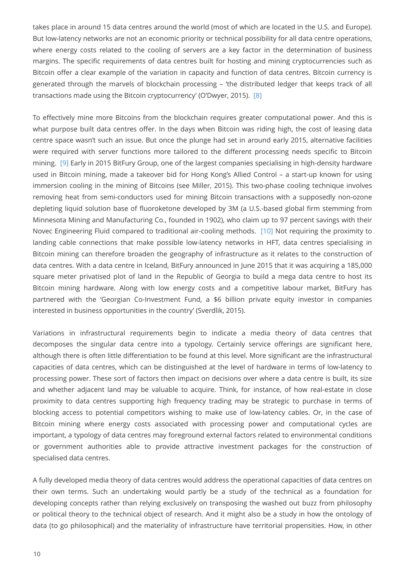takes place in around 15 data centres around the world (most of which are located in the U.S. and Europe). But low-latency networks are not an economic priority or technical possibility for all data centre operations, where energy costs related to the cooling of servers are a key factor in the determination of business margins. The specific requirements of data centres built for hosting and mining cryptocurrencies such as Bitcoin offer a clear example of the variation in capacity and function of data centres. Bitcoin currency is generated through the marvels of blockchain processing – 'the distributed ledger that keeps track of all transactions made using the Bitcoin cryptocurrency' (O'Dwyer, 2015). [\[8\]](#page-15-7)

<span id="page-9-1"></span><span id="page-9-0"></span>To effectively mine more Bitcoins from the blockchain requires greater computational power. And this is what purpose built data centres offer. In the days when Bitcoin was riding high, the cost of leasing data centre space wasn't such an issue. But once the plunge had set in around early 2015, alternative facilities were required with server functions more tailored to the different processing needs specific to Bitcoin mining. [\[9\]](#page-15-8) Early in 2015 BitFury Group, one of the largest companies specialising in high-density hardware used in Bitcoin mining, made a takeover bid for Hong Kong's Allied Control – a start-up known for using immersion cooling in the mining of Bitcoins (see Miller, 2015). This two-phase cooling technique involves removing heat from semi-conductors used for mining Bitcoin transactions with a supposedly non-ozone depleting liquid solution base of fluoroketone developed by 3M (a U.S.-based global firm stemming from Minnesota Mining and Manufacturing Co., founded in 1902), who claim up to 97 percent savings with their Novec Engineering Fluid compared to traditional air-cooling methods. [\[10\]](#page-16-0) Not requiring the proximity to landing cable connections that make possible low-latency networks in HFT, data centres specialising in Bitcoin mining can therefore broaden the geography of infrastructure as it relates to the construction of data centres. With a data centre in Iceland, BitFury announced in June 2015 that it was acquiring a 185,000 square meter privatised plot of land in the Republic of Georgia to build a mega data centre to host its Bitcoin mining hardware. Along with low energy costs and a competitive labour market, BitFury has partnered with the 'Georgian Co-Investment Fund, a \$6 billion private equity investor in companies interested in business opportunities in the country' (Sverdlik, 2015).

<span id="page-9-2"></span>Variations in infrastructural requirements begin to indicate a media theory of data centres that decomposes the singular data centre into a typology. Certainly service offerings are significant here, although there is often little differentiation to be found at this level. More significant are the infrastructural capacities of data centres, which can be distinguished at the level of hardware in terms of low-latency to processing power. These sort of factors then impact on decisions over where a data centre is built, its size and whether adjacent land may be valuable to acquire. Think, for instance, of how real-estate in close proximity to data centres supporting high frequency trading may be strategic to purchase in terms of blocking access to potential competitors wishing to make use of low-latency cables. Or, in the case of Bitcoin mining where energy costs associated with processing power and computational cycles are important, a typology of data centres may foreground external factors related to environmental conditions or government authorities able to provide attractive investment packages for the construction of specialised data centres.

A fully developed media theory of data centres would address the operational capacities of data centres on their own terms. Such an undertaking would partly be a study of the technical as a foundation for developing concepts rather than relying exclusively on transposing the washed out buzz from philosophy or political theory to the technical object of research. And it might also be a study in how the ontology of data (to go philosophical) and the materiality of infrastructure have territorial propensities. How, in other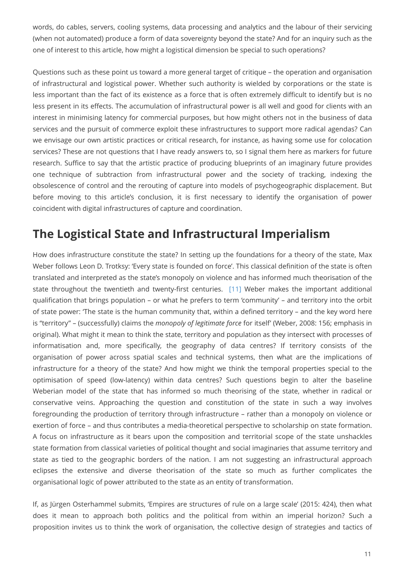words, do cables, servers, cooling systems, data processing and analytics and the labour of their servicing (when not automated) produce a form of data sovereignty beyond the state? And for an inquiry such as the one of interest to this article, how might a logistical dimension be special to such operations?

Questions such as these point us toward a more general target of critique – the operation and organisation of infrastructural and logistical power. Whether such authority is wielded by corporations or the state is less important than the fact of its existence as a force that is often extremely difficult to identify but is no less present in its effects. The accumulation of infrastructural power is all well and good for clients with an interest in minimising latency for commercial purposes, but how might others not in the business of data services and the pursuit of commerce exploit these infrastructures to support more radical agendas? Can we envisage our own artistic practices or critical research, for instance, as having some use for colocation services? These are not questions that I have ready answers to, so I signal them here as markers for future research. Suffice to say that the artistic practice of producing blueprints of an imaginary future provides one technique of subtraction from infrastructural power and the society of tracking, indexing the obsolescence of control and the rerouting of capture into models of psychogeographic displacement. But before moving to this article's conclusion, it is first necessary to identify the organisation of power coincident with digital infrastructures of capture and coordination.

# **The Logistical State and Infrastructural Imperialism**

<span id="page-10-0"></span>How does infrastructure constitute the state? In setting up the foundations for a theory of the state, Max Weber follows Leon D. Trotksy: 'Every state is founded on force'. This classical definition of the state is often translated and interpreted as the state's monopoly on violence and has informed much theorisation of the state throughout the twentieth and twenty-first centuries. [\[11\]](#page-16-1) Weber makes the important additional qualification that brings population – or what he prefers to term 'community' – and territory into the orbit of state power: 'The state is the human community that, within a defined territory – and the key word here is "territory" – (successfully) claims the *monopoly of legitimate force* for itself' (Weber, 2008: 156; emphasis in original). What might it mean to think the state, territory and population as they intersect with processes of informatisation and, more specifically, the geography of data centres? If territory consists of the organisation of power across spatial scales and technical systems, then what are the implications of infrastructure for a theory of the state? And how might we think the temporal properties special to the optimisation of speed (low-latency) within data centres? Such questions begin to alter the baseline Weberian model of the state that has informed so much theorising of the state, whether in radical or conservative veins. Approaching the question and constitution of the state in such a way involves foregrounding the production of territory through infrastructure – rather than a monopoly on violence or exertion of force – and thus contributes a media-theoretical perspective to scholarship on state formation. A focus on infrastructure as it bears upon the composition and territorial scope of the state unshackles state formation from classical varieties of political thought and social imaginaries that assume territory and state as tied to the geographic borders of the nation. I am not suggesting an infrastructural approach eclipses the extensive and diverse theorisation of the state so much as further complicates the organisational logic of power attributed to the state as an entity of transformation.

If, as Jürgen Osterhammel submits, 'Empires are structures of rule on a large scale' (2015: 424), then what does it mean to approach both politics and the political from within an imperial horizon? Such a proposition invites us to think the work of organisation, the collective design of strategies and tactics of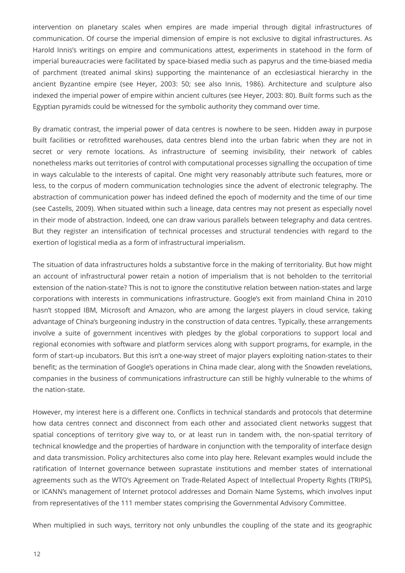intervention on planetary scales when empires are made imperial through digital infrastructures of communication. Of course the imperial dimension of empire is not exclusive to digital infrastructures. As Harold Innis's writings on empire and communications attest, experiments in statehood in the form of imperial bureaucracies were facilitated by space-biased media such as papyrus and the time-biased media of parchment (treated animal skins) supporting the maintenance of an ecclesiastical hierarchy in the ancient Byzantine empire (see Heyer, 2003: 50; see also Innis, 1986). Architecture and sculpture also indexed the imperial power of empire within ancient cultures (see Heyer, 2003: 80). Built forms such as the Egyptian pyramids could be witnessed for the symbolic authority they command over time.

By dramatic contrast, the imperial power of data centres is nowhere to be seen. Hidden away in purpose built facilities or retrofitted warehouses, data centres blend into the urban fabric when they are not in secret or very remote locations. As infrastructure of seeming invisibility, their network of cables nonetheless marks out territories of control with computational processes signalling the occupation of time in ways calculable to the interests of capital. One might very reasonably attribute such features, more or less, to the corpus of modern communication technologies since the advent of electronic telegraphy. The abstraction of communication power has indeed defined the epoch of modernity and the time of our time (see Castells, 2009). When situated within such a lineage, data centres may not present as especially novel in their mode of abstraction. Indeed, one can draw various parallels between telegraphy and data centres. But they register an intensification of technical processes and structural tendencies with regard to the exertion of logistical media as a form of infrastructural imperialism.

The situation of data infrastructures holds a substantive force in the making of territoriality. But how might an account of infrastructural power retain a notion of imperialism that is not beholden to the territorial extension of the nation-state? This is not to ignore the constitutive relation between nation-states and large corporations with interests in communications infrastructure. Google's exit from mainland China in 2010 hasn't stopped IBM, Microsoft and Amazon, who are among the largest players in cloud service, taking advantage of China's burgeoning industry in the construction of data centres. Typically, these arrangements involve a suite of government incentives with pledges by the global corporations to support local and regional economies with software and platform services along with support programs, for example, in the form of start-up incubators. But this isn't a one-way street of major players exploiting nation-states to their benefit; as the termination of Google's operations in China made clear, along with the Snowden revelations, companies in the business of communications infrastructure can still be highly vulnerable to the whims of the nation-state.

However, my interest here is a different one. Conflicts in technical standards and protocols that determine how data centres connect and disconnect from each other and associated client networks suggest that spatial conceptions of territory give way to, or at least run in tandem with, the non-spatial territory of technical knowledge and the properties of hardware in conjunction with the temporality of interface design and data transmission. Policy architectures also come into play here. Relevant examples would include the ratification of Internet governance between suprastate institutions and member states of international agreements such as the WTO's Agreement on Trade-Related Aspect of Intellectual Property Rights (TRIPS), or ICANN's management of Internet protocol addresses and Domain Name Systems, which involves input from representatives of the 111 member states comprising the Governmental Advisory Committee.

When multiplied in such ways, territory not only unbundles the coupling of the state and its geographic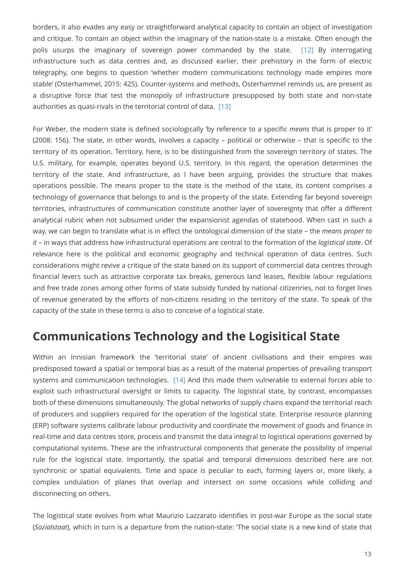<span id="page-12-0"></span>borders, it also evades any easy or straightforward analytical capacity to contain an object of investigation and critique. To contain an object within the imaginary of the nation-state is a mistake. Often enough the polis usurps the imaginary of sovereign power commanded by the state. [\[12\]](#page-16-2) By interrogating infrastructure such as data centres and, as discussed earlier, their prehistory in the form of electric telegraphy, one begins to question 'whether modern communications technology made empires more stable' (Osterhammel, 2015: 425). Counter-systems and methods, Osterhammel reminds us, are present as a disruptive force that test the monopoly of infrastructure presupposed by both state and non-state authorities as quasi-rivals in the territorial control of data. [\[13\]](#page-16-3)

<span id="page-12-1"></span>For Weber, the modern state is defined sociologically 'by reference to a specific *means* that is proper to it' (2008: 156). The state, in other words, involves a capacity – political or otherwise – that is specific to the territory of its operation. Territory, here, is to be distinguished from the sovereign territory of states. The U.S. military, for example, operates beyond U.S. territory. In this regard, the operation determines the territory of the state. And infrastructure, as I have been arguing, provides the structure that makes operations possible. The means proper to the state is the method of the state, its content comprises a technology of governance that belongs to and is the property of the state. Extending far beyond sovereign territories, infrastructures of communication constitute another layer of sovereignty that offer a different analytical rubric when not subsumed under the expansionist agendas of statehood. When cast in such a way, we can begin to translate what is in effect the ontological dimension of the state – the *means proper to it* – in ways that address how infrastructural operations are central to the formation of the *logistical state*. Of relevance here is the political and economic geography and technical operation of data centres. Such considerations might revive a critique of the state based on its support of commercial data centres through financial levers such as attractive corporate tax breaks, generous land leases, flexible labour regulations and free trade zones among other forms of state subsidy funded by national citizenries, not to forget lines of revenue generated by the efforts of non-citizens residing in the territory of the state. To speak of the capacity of the state in these terms is also to conceive of a logistical state.

#### **Communications Technology and the Logisitical State**

<span id="page-12-2"></span>Within an Innisian framework the 'territorial state' of ancient civilisations and their empires was predisposed toward a spatial or temporal bias as a result of the material properties of prevailing transport systems and communication technologies. [\[14\]](#page-16-4) And this made them vulnerable to external forces able to exploit such infrastructural oversight or limits to capacity. The logistical state, by contrast, encompasses both of these dimensions simultaneously. The global networks of supply chains expand the territorial reach of producers and suppliers required for the operation of the logistical state. Enterprise resource planning (ERP) software systems calibrate labour productivity and coordinate the movement of goods and finance in real-time and data centres store, process and transmit the data integral to logistical operations governed by computational systems. These are the infrastructural components that generate the possibility of imperial rule for the logistical state. Importantly, the spatial and temporal dimensions described here are not synchronic or spatial equivalents. Time and space is peculiar to each, forming layers or, more likely, a complex undulation of planes that overlap and intersect on some occasions while colliding and disconnecting on others.

The logistical state evolves from what Maurizio Lazzarato identifies in post-war Europe as the social state (*Sozialstaat*), which in turn is a departure from the nation-state: 'The social state is a new kind of state that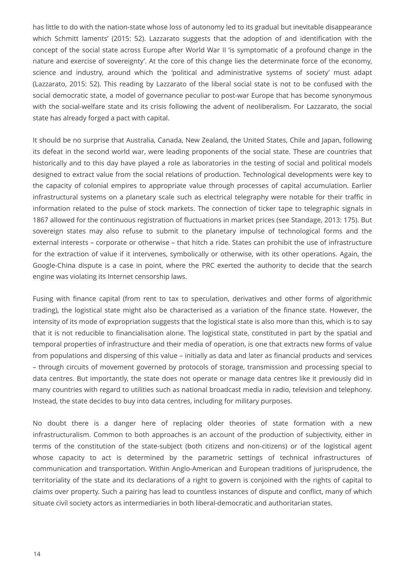has little to do with the nation-state whose loss of autonomy led to its gradual but inevitable disappearance which Schmitt laments' (2015: 52). Lazzarato suggests that the adoption of and identification with the concept of the social state across Europe after World War II 'is symptomatic of a profound change in the nature and exercise of sovereignty'. At the core of this change lies the determinate force of the economy, science and industry, around which the 'political and administrative systems of society' must adapt (Lazzarato, 2015: 52). This reading by Lazzarato of the liberal social state is not to be confused with the social democratic state, a model of governance peculiar to post-war Europe that has become synonymous with the social-welfare state and its crisis following the advent of neoliberalism. For Lazzarato, the social state has already forged a pact with capital.

It should be no surprise that Australia, Canada, New Zealand, the United States, Chile and Japan, following its defeat in the second world war, were leading proponents of the social state. These are countries that historically and to this day have played a role as laboratories in the testing of social and political models designed to extract value from the social relations of production. Technological developments were key to the capacity of colonial empires to appropriate value through processes of capital accumulation. Earlier infrastructural systems on a planetary scale such as electrical telegraphy were notable for their traffic in information related to the pulse of stock markets. The connection of ticker tape to telegraphic signals in 1867 allowed for the continuous registration of fluctuations in market prices (see Standage, 2013: 175). But sovereign states may also refuse to submit to the planetary impulse of technological forms and the external interests – corporate or otherwise – that hitch a ride. States can prohibit the use of infrastructure for the extraction of value if it intervenes, symbolically or otherwise, with its other operations. Again, the Google-China dispute is a case in point, where the PRC exerted the authority to decide that the search engine was violating its Internet censorship laws.

Fusing with finance capital (from rent to tax to speculation, derivatives and other forms of algorithmic trading), the logistical state might also be characterised as a variation of the finance state. However, the intensity of its mode of expropriation suggests that the logistical state is also more than this, which is to say that it is not reducible to financialisation alone. The logistical state, constituted in part by the spatial and temporal properties of infrastructure and their media of operation, is one that extracts new forms of value from populations and dispersing of this value – initially as data and later as financial products and services – through circuits of movement governed by protocols of storage, transmission and processing special to data centres. But importantly, the state does not operate or manage data centres like it previously did in many countries with regard to utilities such as national broadcast media in radio, television and telephony. Instead, the state decides to buy into data centres, including for military purposes.

No doubt there is a danger here of replacing older theories of state formation with a new infrastructuralism. Common to both approaches is an account of the production of subjectivity, either in terms of the constitution of the state-subject (both citizens and non-citizens) or of the logistical agent whose capacity to act is determined by the parametric settings of technical infrastructures of communication and transportation. Within Anglo-American and European traditions of jurisprudence, the territoriality of the state and its declarations of a right to govern is conjoined with the rights of capital to claims over property. Such a pairing has lead to countless instances of dispute and conflict, many of which situate civil society actors as intermediaries in both liberal-democratic and authoritarian states.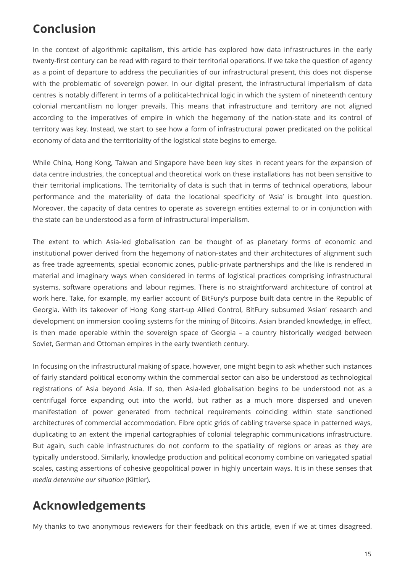## **Conclusion**

In the context of algorithmic capitalism, this article has explored how data infrastructures in the early twenty-first century can be read with regard to their territorial operations. If we take the question of agency as a point of departure to address the peculiarities of our infrastructural present, this does not dispense with the problematic of sovereign power. In our digital present, the infrastructural imperialism of data centres is notably different in terms of a political-technical logic in which the system of nineteenth century colonial mercantilism no longer prevails. This means that infrastructure and territory are not aligned according to the imperatives of empire in which the hegemony of the nation-state and its control of territory was key. Instead, we start to see how a form of infrastructural power predicated on the political economy of data and the territoriality of the logistical state begins to emerge.

While China, Hong Kong, Taiwan and Singapore have been key sites in recent years for the expansion of data centre industries, the conceptual and theoretical work on these installations has not been sensitive to their territorial implications. The territoriality of data is such that in terms of technical operations, labour performance and the materiality of data the locational specificity of 'Asia' is brought into question. Moreover, the capacity of data centres to operate as sovereign entities external to or in conjunction with the state can be understood as a form of infrastructural imperialism.

The extent to which Asia-led globalisation can be thought of as planetary forms of economic and institutional power derived from the hegemony of nation-states and their architectures of alignment such as free trade agreements, special economic zones, public-private partnerships and the like is rendered in material and imaginary ways when considered in terms of logistical practices comprising infrastructural systems, software operations and labour regimes. There is no straightforward architecture of control at work here. Take, for example, my earlier account of BitFury's purpose built data centre in the Republic of Georgia. With its takeover of Hong Kong start-up Allied Control, BitFury subsumed 'Asian' research and development on immersion cooling systems for the mining of Bitcoins. Asian branded knowledge, in effect, is then made operable within the sovereign space of Georgia – a country historically wedged between Soviet, German and Ottoman empires in the early twentieth century.

In focusing on the infrastructural making of space, however, one might begin to ask whether such instances of fairly standard political economy within the commercial sector can also be understood as technological registrations of Asia beyond Asia. If so, then Asia-led globalisation begins to be understood not as a centrifugal force expanding out into the world, but rather as a much more dispersed and uneven manifestation of power generated from technical requirements coinciding within state sanctioned architectures of commercial accommodation. Fibre optic grids of cabling traverse space in patterned ways, duplicating to an extent the imperial cartographies of colonial telegraphic communications infrastructure. But again, such cable infrastructures do not conform to the spatiality of regions or areas as they are typically understood. Similarly, knowledge production and political economy combine on variegated spatial scales, casting assertions of cohesive geopolitical power in highly uncertain ways. It is in these senses that *media determine our situation* (Kittler).

# **Acknowledgements**

My thanks to two anonymous reviewers for their feedback on this article, even if we at times disagreed.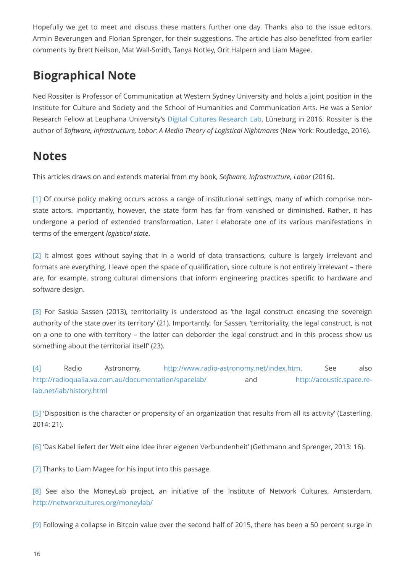Hopefully we get to meet and discuss these matters further one day. Thanks also to the issue editors, Armin Beverungen and Florian Sprenger, for their suggestions. The article has also benefitted from earlier comments by Brett Neilson, Mat Wall-Smith, Tanya Notley, Orit Halpern and Liam Magee.

# **Biographical Note**

Ned Rossiter is Professor of Communication at Western Sydney University and holds a joint position in the Institute for Culture and Society and the School of Humanities and Communication Arts. He was a Senior Research Fellow at Leuphana University's [Digital Cultures Research Lab,](http://www.leuphana.de/en/research-centers/cdc/digital-cultures-research-lab.html) Lüneburg in 2016. Rossiter is the author of *Software, Infrastructure, Labor: A Media Theory of Logistical Nightmares* (New York: Routledge, 2016).

#### **Notes**

This articles draws on and extends material from my book, *Software, Infrastructure, Labor* (2016).

<span id="page-15-0"></span>[\[1\]](#page-0-0) Of course policy making occurs across a range of institutional settings, many of which comprise nonstate actors. Importantly, however, the state form has far from vanished or diminished. Rather, it has undergone a period of extended transformation. Later I elaborate one of its various manifestations in terms of the emergent *logistical state*.

<span id="page-15-1"></span>[\[2\]](#page-3-0) It almost goes without saying that in a world of data transactions, culture is largely irrelevant and formats are everything. I leave open the space of qualification, since culture is not entirely irrelevant – there are, for example, strong cultural dimensions that inform engineering practices specific to hardware and software design.

<span id="page-15-2"></span>[\[3\]](#page-3-1) For Saskia Sassen (2013), territoriality is understood as 'the legal construct encasing the sovereign authority of the state over its territory' (21). Importantly, for Sassen, 'territoriality, the legal construct, is not on a one to one with territory – the latter can deborder the legal construct and in this process show us something about the territorial itself' (23).

<span id="page-15-3"></span>[\[4\]](#page-3-2) Radio Astronomy, [http://www.radio-astronomy.net/index.htm.](http://www.radio-astronomy.net/index.htm) See also <http://radioqualia.va.com.au/documentation/spacelab/>and [http://acoustic.space.re](http://acoustic.space.re-lab.net/lab/history.html)[lab.net/lab/history.html](http://acoustic.space.re-lab.net/lab/history.html)

<span id="page-15-4"></span>[\[5\]](#page-4-0) 'Disposition is the character or propensity of an organization that results from all its activity' (Easterling, 2014: 21).

<span id="page-15-5"></span>[\[6\]](#page-4-1) 'Das Kabel liefert der Welt eine Idee ihrer eigenen Verbundenheit' (Gethmann and Sprenger, 2013: 16).

<span id="page-15-6"></span>[\[7\]](#page-5-0) Thanks to Liam Magee for his input into this passage.

<span id="page-15-7"></span>[\[8\]](#page-9-0) See also the MoneyLab project, an initiative of the Institute of Network Cultures, Amsterdam, <http://networkcultures.org/moneylab/>

<span id="page-15-8"></span>[\[9\]](#page-9-1) Following a collapse in Bitcoin value over the second half of 2015, there has been a 50 percent surge in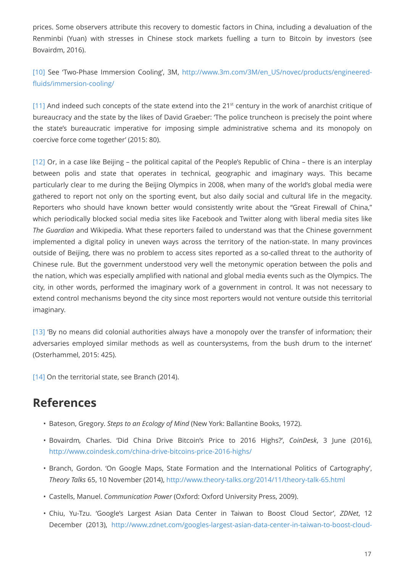prices. Some observers attribute this recovery to domestic factors in China, including a devaluation of the Renminbi (Yuan) with stresses in Chinese stock markets fuelling a turn to Bitcoin by investors (see Bovairdm, 2016).

<span id="page-16-0"></span>[\[10\]](#page-9-2) See 'Two-Phase Immersion Cooling', 3M, [http://www.3m.com/3M/en\\_US/novec/products/engineered](http://www.3m.com/3M/en_US/novec/products/engineered-fluids/immersion-cooling/)[fluids/immersion-cooling/](http://www.3m.com/3M/en_US/novec/products/engineered-fluids/immersion-cooling/)

<span id="page-16-1"></span> $[11]$  And indeed such concepts of the state extend into the  $21<sup>st</sup>$  century in the work of anarchist critique of bureaucracy and the state by the likes of David Graeber: 'The police truncheon is precisely the point where the state's bureaucratic imperative for imposing simple administrative schema and its monopoly on coercive force come together' (2015: 80).

<span id="page-16-2"></span>[\[12\]](#page-12-0) Or, in a case like Beijing – the political capital of the People's Republic of China – there is an interplay between polis and state that operates in technical, geographic and imaginary ways. This became particularly clear to me during the Beijing Olympics in 2008, when many of the world's global media were gathered to report not only on the sporting event, but also daily social and cultural life in the megacity. Reporters who should have known better would consistently write about the "Great Firewall of China," which periodically blocked social media sites like Facebook and Twitter along with liberal media sites like *The Guardian* and Wikipedia. What these reporters failed to understand was that the Chinese government implemented a digital policy in uneven ways across the territory of the nation-state. In many provinces outside of Beijing, there was no problem to access sites reported as a so-called threat to the authority of Chinese rule. But the government understood very well the metonymic operation between the polis and the nation, which was especially amplified with national and global media events such as the Olympics. The city, in other words, performed the imaginary work of a government in control. It was not necessary to extend control mechanisms beyond the city since most reporters would not venture outside this territorial imaginary.

<span id="page-16-3"></span>[\[13\]](#page-12-1) 'By no means did colonial authorities always have a monopoly over the transfer of information; their adversaries employed similar methods as well as countersystems, from the bush drum to the internet' (Osterhammel, 2015: 425).

<span id="page-16-4"></span>[\[14\]](#page-12-2) On the territorial state, see Branch (2014).

# **References**

- Bateson, Gregory. *Steps to an Ecology of Mind* (New York: Ballantine Books, 1972).
- Bovairdm*,* Charles. 'Did China Drive Bitcoin's Price to 2016 Highs?', *CoinDesk*, 3 June (2016), <http://www.coindesk.com/china-drive-bitcoins-price-2016-highs/>
- Branch, Gordon. 'On Google Maps, State Formation and the International Politics of Cartography', *Theory Talks* 65, 10 November (2014), <http://www.theory-talks.org/2014/11/theory-talk-65.html>
- Castells, Manuel. *Communication Power* (Oxford: Oxford University Press, 2009).
- Chiu, Yu-Tzu. 'Google's Largest Asian Data Center in Taiwan to Boost Cloud Sector', *ZDNet*, 12 December (2013), [http://www.zdnet.com/googles-largest-asian-data-center-in-taiwan-to-boost-cloud-](http://www.zdnet.com/googles-largest-asian-data-center-in-taiwan-to-boost-cloud-sector-7000024174/)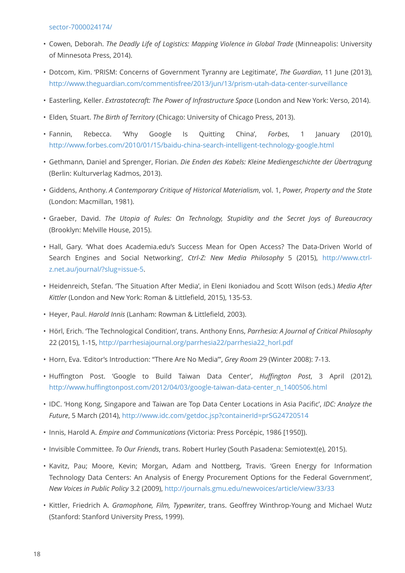- Cowen, Deborah. *The Deadly Life of Logistics: Mapping Violence in Global Trade* (Minneapolis: University of Minnesota Press, 2014).
- Dotcom, Kim. 'PRISM: Concerns of Government Tyranny are Legitimate', *The Guardian*, 11 June (2013), <http://www.theguardian.com/commentisfree/2013/jun/13/prism-utah-data-center-surveillance>
- Easterling, Keller. *Extrastatecraft: The Power of Infrastructure Space* (London and New York: Verso, 2014).
- Elden*,* Stuart. *The Birth of Territory* (Chicago: University of Chicago Press, 2013).
- Fannin, Rebecca. 'Why Google Is Quitting China', *Forbes*, 1 January (2010), <http://www.forbes.com/2010/01/15/baidu-china-search-intelligent-technology-google.html>
- Gethmann, Daniel and Sprenger, Florian. *Die Enden des Kabels: Kleine Mediengeschichte der Übertragung* (Berlin: Kulturverlag Kadmos, 2013).
- Giddens, Anthony. *A Contemporary Critique of Historical Materialism*, vol. 1, *Power, Property and the State* (London: Macmillan, 1981).
- Graeber, David. *The Utopia of Rules: On Technology, Stupidity and the Secret Joys of Bureaucracy* (Brooklyn: Melville House, 2015).
- Hall, Gary. 'What does Academia.edu's Success Mean for Open Access? The Data-Driven World of Search Engines and Social Networking', *Ctrl-Z: New Media Philosophy* 5 (2015), [http://www.ctrl](http://www.ctrl-z.net.au/journal/?slug=issue-5)[z.net.au/journal/?slug=issue-5](http://www.ctrl-z.net.au/journal/?slug=issue-5).
- Heidenreich, Stefan. 'The Situation After Media', in Eleni Ikoniadou and Scott Wilson (eds.) *Media After Kittler* (London and New York: Roman & Littlefield, 2015), 135-53.
- Heyer, Paul. *Harold Innis* (Lanham: Rowman & Littlefield, 2003).
- Hörl, Erich. 'The Technological Condition', trans. Anthony Enns, *Parrhesia: A Journal of Critical Philosophy* 22 (2015), 1-15, [http://parrhesiajournal.org/parrhesia22/parrhesia22\\_horl.pdf](http://parrhesiajournal.org/parrhesia22/parrhesia22_horl.pdf)
- Horn, Eva. 'Editor's Introduction: "There Are No Media"', *Grey Room* 29 (Winter 2008): 7-13.
- Huffington Post. 'Google to Build Taiwan Data Center', *Huffington Post*, 3 April (2012), [http://www.huffingtonpost.com/2012/04/03/google-taiwan-data-center\\_n\\_1400506.html](http://www.huffingtonpost.com/2012/04/03/google-taiwan-data-center_n_1400506.html)
- IDC. 'Hong Kong, Singapore and Taiwan are Top Data Center Locations in Asia Pacific', *IDC: Analyze the Future*, 5 March (2014),<http://www.idc.com/getdoc.jsp?containerId=prSG24720514>
- Innis, Harold A. *Empire and Communications* (Victoria: Press Porcépic, 1986 [1950]).
- Invisible Committee. *To Our Friends*, trans. Robert Hurley (South Pasadena: Semiotext(e), 2015).
- Kavitz, Pau; Moore, Kevin; Morgan, Adam and Nottberg, Travis. 'Green Energy for Information Technology Data Centers: An Analysis of Energy Procurement Options for the Federal Government', *New Voices in Public Policy* 3.2 (2009),<http://journals.gmu.edu/newvoices/article/view/33/33>
- Kittler, Friedrich A. *Gramophone, Film, Typewriter*, trans. Geoffrey Winthrop-Young and Michael Wutz (Stanford: Stanford University Press, 1999).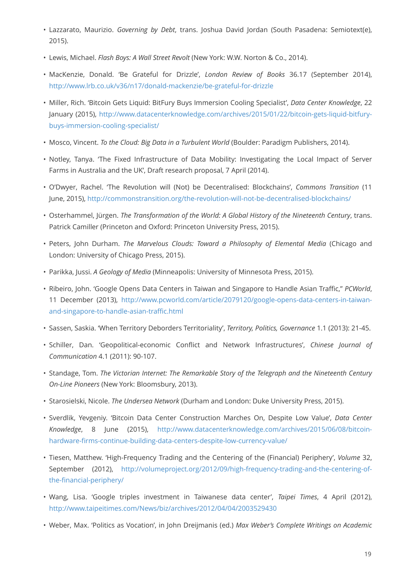- Lazzarato, Maurizio. *Governing by Debt*, trans. Joshua David Jordan (South Pasadena: Semiotext(e), 2015).
- Lewis, Michael. *Flash Boys: A Wall Street Revolt* (New York: W.W. Norton & Co., 2014).
- MacKenzie, Donald. 'Be Grateful for Drizzle', *London Review of Books* 36.17 (September 2014), <http://www.lrb.co.uk/v36/n17/donald-mackenzie/be-grateful-for-drizzle>
- Miller, Rich. 'Bitcoin Gets Liquid: BitFury Buys Immersion Cooling Specialist', *Data Center Knowledge*, 22 January (2015), [http://www.datacenterknowledge.com/archives/2015/01/22/bitcoin-gets-liquid-bitfury](http://www.datacenterknowledge.com/archives/2015/01/22/bitcoin-gets-liquid-bitfury-buys-immersion-cooling-specialist/)[buys-immersion-cooling-specialist/](http://www.datacenterknowledge.com/archives/2015/01/22/bitcoin-gets-liquid-bitfury-buys-immersion-cooling-specialist/)
- Mosco, Vincent. *To the Cloud: Big Data in a Turbulent World* (Boulder: Paradigm Publishers, 2014).
- Notley, Tanya. 'The Fixed Infrastructure of Data Mobility: Investigating the Local Impact of Server Farms in Australia and the UK', Draft research proposal, 7 April (2014).
- O'Dwyer, Rachel. 'The Revolution will (Not) be Decentralised: Blockchains', *Commons Transition* (11 June, 2015), <http://commonstransition.org/the-revolution-will-not-be-decentralised-blockchains/>
- Osterhammel, Jürgen. *The Transformation of the World: A Global History of the Nineteenth Century*, trans. Patrick Camiller (Princeton and Oxford: Princeton University Press, 2015).
- Peters, John Durham. *The Marvelous Clouds: Toward a Philosophy of Elemental Media* (Chicago and London: University of Chicago Press, 2015).
- Parikka, Jussi. *A Geology of Media* (Minneapolis: University of Minnesota Press, 2015).
- Ribeiro, John. 'Google Opens Data Centers in Taiwan and Singapore to Handle Asian Traffic," *PCWorld*, 11 December (2013), [http://www.pcworld.com/article/2079120/google-opens-data-centers-in-taiwan](http://www.pcworld.com/article/2079120/google-opens-data-centers-in-taiwan-and-singapore-to-handle-asian-traffic.html)[and-singapore-to-handle-asian-traffic.html](http://www.pcworld.com/article/2079120/google-opens-data-centers-in-taiwan-and-singapore-to-handle-asian-traffic.html)
- Sassen, Saskia. 'When Territory Deborders Territoriality', *Territory, Politics, Governance* 1.1 (2013): 21-45.
- Schiller, Dan. 'Geopolitical-economic Conflict and Network Infrastructures', *Chinese Journal of Communication* 4.1 (2011): 90-107.
- Standage, Tom. *The Victorian Internet: The Remarkable Story of the Telegraph and the Nineteenth Century On-Line Pioneers* (New York: Bloomsbury, 2013).
- Starosielski, Nicole. *The Undersea Network* (Durham and London: Duke University Press, 2015).
- Sverdlik, Yevgeniy. 'Bitcoin Data Center Construction Marches On, Despite Low Value', *Data Center Knowledge*, 8 June (2015), [http://www.datacenterknowledge.com/archives/2015/06/08/bitcoin](http://www.datacenterknowledge.com/archives/2015/06/08/bitcoin-hardware-firms-continue-building-data-centers-despite-low-currency-value/)[hardware-firms-continue-building-data-centers-despite-low-currency-value/](http://www.datacenterknowledge.com/archives/2015/06/08/bitcoin-hardware-firms-continue-building-data-centers-despite-low-currency-value/)
- Tiesen, Matthew. 'High-Frequency Trading and the Centering of the (Financial) Periphery', *Volume* 32, September (2012), [http://volumeproject.org/2012/09/high-frequency-trading-and-the-centering-of](http://volumeproject.org/2012/09/high-frequency-trading-and-the-centering-of-the-financial-periphery/)[the-financial-periphery/](http://volumeproject.org/2012/09/high-frequency-trading-and-the-centering-of-the-financial-periphery/)
- Wang, Lisa. 'Google triples investment in Taiwanese data center', *Taipei Times*, 4 April (2012), <http://www.taipeitimes.com/News/biz/archives/2012/04/04/2003529430>
- Weber, Max. 'Politics as Vocation', in John Dreijmanis (ed.) *Max Weber's Complete Writings on Academic*